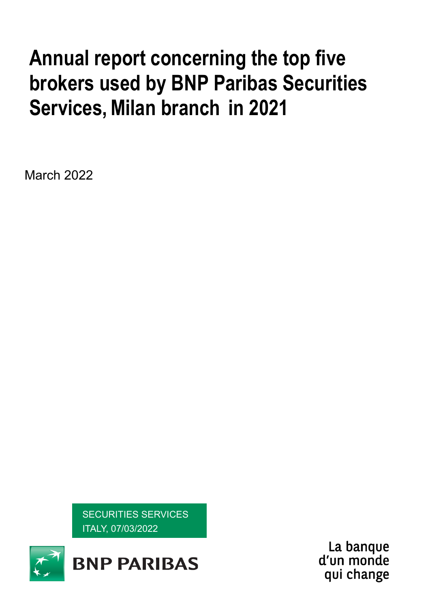# **Annual report concerning the top five brokers used by BNP Paribas Securities Services,Milan branch in 2021**

March 2022

SECURITIES SERVICES ITALY, 07/03/2022



La banque d'un monde qui change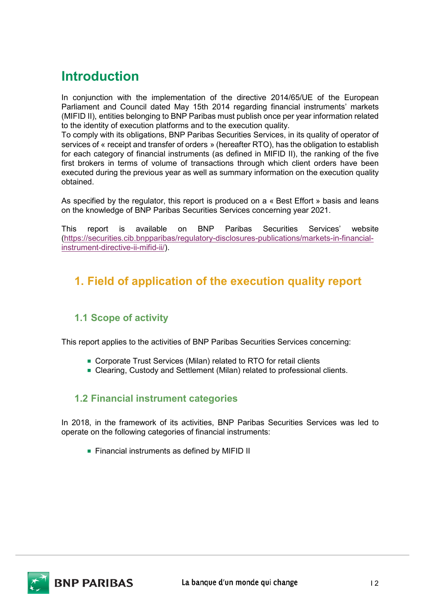## **Introduction**

In conjunction with the implementation of the directive 2014/65/UE of the European Parliament and Council dated May 15th 2014 regarding financial instruments' markets (MIFID II), entities belonging to BNP Paribas must publish once per year information related to the identity of execution platforms and to the execution quality.

To comply with its obligations, BNP Paribas Securities Services, in its quality of operator of services of « receipt and transfer of orders » (hereafter RTO), has the obligation to establish for each category of financial instruments (as defined in MIFID II), the ranking of the five first brokers in terms of volume of transactions through which client orders have been executed during the previous year as well as summary information on the execution quality obtained.

As specified by the regulator, this report is produced on a « Best Effort » basis and leans on the knowledge of BNP Paribas Securities Services concerning year 2021.

This report is available on BNP Paribas Securities Services' website [\(https://securities.cib.bnpparibas/regulatory-disclosures-publications/markets-in-financial](https://securities.cib.bnpparibas/regulatory-disclosures-publications/markets-in-financial-instrument-directive-ii-mifid-ii/)[instrument-directive-ii-mifid-ii/\)](https://securities.cib.bnpparibas/regulatory-disclosures-publications/markets-in-financial-instrument-directive-ii-mifid-ii/).

## **1. Field of application of the execution quality report**

## **1.1 Scope of activity**

This report applies to the activities of BNP Paribas Securities Services concerning:

- Corporate Trust Services (Milan) related to RTO for retail clients
- Clearing, Custody and Settlement (Milan) related to professional clients.

## **1.2 Financial instrument categories**

In 2018, in the framework of its activities, BNP Paribas Securities Services was led to operate on the following categories of financial instruments:

**Financial instruments as defined by MIFID II** 

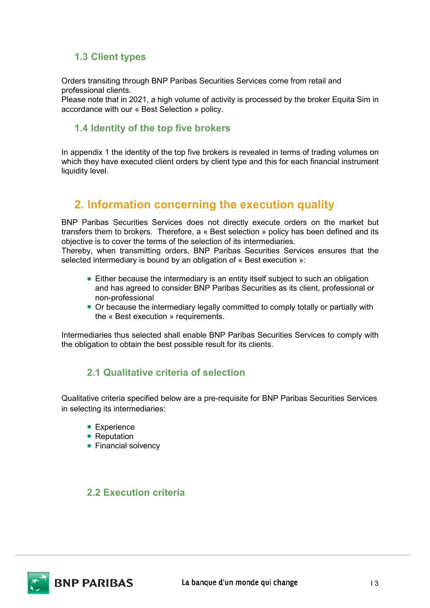## **1.3 Client types**

Orders transiting through BNP Paribas Securities Services come from retail and professional clients.

Please note that in 2021, a high volume of activity is processed by the broker Equita Sim in accordance with our « Best Selection » policy.

### **1.4 Identity of the top five brokers**

In appendix 1 the identity of the top five brokers is revealed in terms of trading volumes on which they have executed client orders by client type and this for each financial instrument liquidity level.

## **2. Information concerning the execution quality**

BNP Paribas Securities Services does not directly execute orders on the market but transfers them to brokers. Therefore, a « Best selection » policy has been defined and its objective is to cover the terms of the selection of its intermediaries.

Thereby, when transmitting orders, BNP Paribas Securities Services ensures that the selected intermediary is bound by an obligation of « Best execution »:

- **Either because the intermediary is an entity itself subject to such an obligation** and has agreed to consider BNP Paribas Securities as its client, professional or non-professional
- Or because the intermediary legally committed to comply totally or partially with the « Best execution » requirements.

Intermediaries thus selected shall enable BNP Paribas Securities Services to comply with the obligation to obtain the best possible result for its clients.

## **2.1 Qualitative criteria of selection**

Qualitative criteria specified below are a pre-requisite for BNP Paribas Securities Services in selecting its intermediaries:

- **Experience**
- Reputation
- **Financial solvency**

## **2.2 Execution criteria**

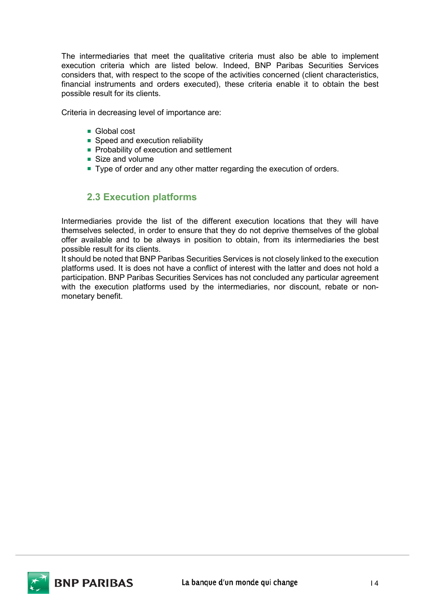The intermediaries that meet the qualitative criteria must also be able to implement execution criteria which are listed below. Indeed, BNP Paribas Securities Services considers that, with respect to the scope of the activities concerned (client characteristics, financial instruments and orders executed), these criteria enable it to obtain the best possible result for its clients.

Criteria in decreasing level of importance are:

- Global cost
- Speed and execution reliability
- **Probability of execution and settlement**
- Size and volume
- Type of order and any other matter regarding the execution of orders.

## **2.3 Execution platforms**

Intermediaries provide the list of the different execution locations that they will have themselves selected, in order to ensure that they do not deprive themselves of the global offer available and to be always in position to obtain, from its intermediaries the best possible result for its clients.

It should be noted that BNP Paribas Securities Services is not closely linked to the execution platforms used. It is does not have a conflict of interest with the latter and does not hold a participation. BNP Paribas Securities Services has not concluded any particular agreement with the execution platforms used by the intermediaries, nor discount, rebate or nonmonetary benefit.

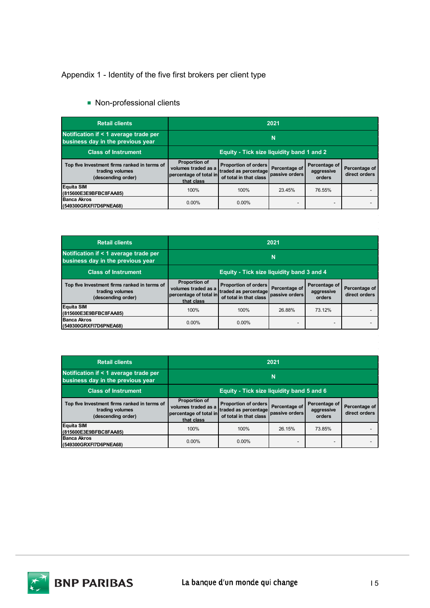### Appendix 1 - Identity of the five first brokers per client type

■ Non-professional clients

| <b>Retail clients</b>                                                                 | 2021                                                                         |                                                                               |                                 |                                       |                                |
|---------------------------------------------------------------------------------------|------------------------------------------------------------------------------|-------------------------------------------------------------------------------|---------------------------------|---------------------------------------|--------------------------------|
| Notification if < 1 average trade per<br>business day in the previous year            | N                                                                            |                                                                               |                                 |                                       |                                |
| <b>Class of Instrument</b>                                                            | Equity - Tick size liquidity band 1 and 2                                    |                                                                               |                                 |                                       |                                |
| Top five Investment firms ranked in terms of<br>trading volumes<br>(descending order) | Proportion of<br>volumes traded as a<br>percentage of total in<br>that class | <b>Proportion of orders</b><br>traded as percentage<br>of total in that class | Percentage of<br>passive orders | Percentage of<br>aggressive<br>orders | Percentage of<br>direct orders |
| <b>Equita SIM</b><br>(815600E3E9BFBC8FAA85)                                           | 100%                                                                         | 100%                                                                          | 23.45%                          | 76.55%                                |                                |
| <b>Banca Akros</b><br>(549300GRXFI7D6PNEA68)                                          | $0.00\%$                                                                     | $0.00\%$                                                                      |                                 |                                       |                                |

| <b>Retail clients</b>                                                                 | 2021                                                                         |                                                                               |                                 |                                       |                                |
|---------------------------------------------------------------------------------------|------------------------------------------------------------------------------|-------------------------------------------------------------------------------|---------------------------------|---------------------------------------|--------------------------------|
| Notification if < 1 average trade per<br>business day in the previous year            | N                                                                            |                                                                               |                                 |                                       |                                |
| <b>Class of Instrument</b>                                                            | <b>Equity - Tick size liquidity band 3 and 4</b>                             |                                                                               |                                 |                                       |                                |
| Top five Investment firms ranked in terms of<br>trading volumes<br>(descending order) | Proportion of<br>volumes traded as a<br>percentage of total in<br>that class | <b>Proportion of orders</b><br>traded as percentage<br>of total in that class | Percentage of<br>passive orders | Percentage of<br>aggressive<br>orders | Percentage of<br>direct orders |
| <b>Equita SIM</b><br>(815600E3E9BFBC8FAA85)                                           | 100%                                                                         | 100%                                                                          | 26.88%                          | 73.12%                                |                                |
| <b>Banca Akros</b><br>(549300GRXFI7D6PNEA68)                                          | $0.00\%$                                                                     | $0.00\%$                                                                      |                                 |                                       |                                |

| <b>Retail clients</b>                                                                 | 2021                                                                                |                                                                               |                                 |                                       |                                |
|---------------------------------------------------------------------------------------|-------------------------------------------------------------------------------------|-------------------------------------------------------------------------------|---------------------------------|---------------------------------------|--------------------------------|
| Notification if < 1 average trade per<br>business day in the previous year            | Ν                                                                                   |                                                                               |                                 |                                       |                                |
| <b>Class of Instrument</b>                                                            | Equity - Tick size liquidity band 5 and 6                                           |                                                                               |                                 |                                       |                                |
| Top five Investment firms ranked in terms of<br>trading volumes<br>(descending order) | <b>Proportion of</b><br>volumes traded as a<br>percentage of total in<br>that class | <b>Proportion of orders</b><br>traded as percentage<br>of total in that class | Percentage of<br>passive orders | Percentage of<br>aggressive<br>orders | Percentage of<br>direct orders |
| <b>Equita SIM</b><br>(815600E3E9BFBC8FAA85)                                           | 100%                                                                                | 100%                                                                          | 26.15%                          | 73.85%                                |                                |
| <b>Banca Akros</b><br>(549300GRXFI7D6PNEA68)                                          | $0.00\%$                                                                            | $0.00\%$                                                                      |                                 | -                                     |                                |